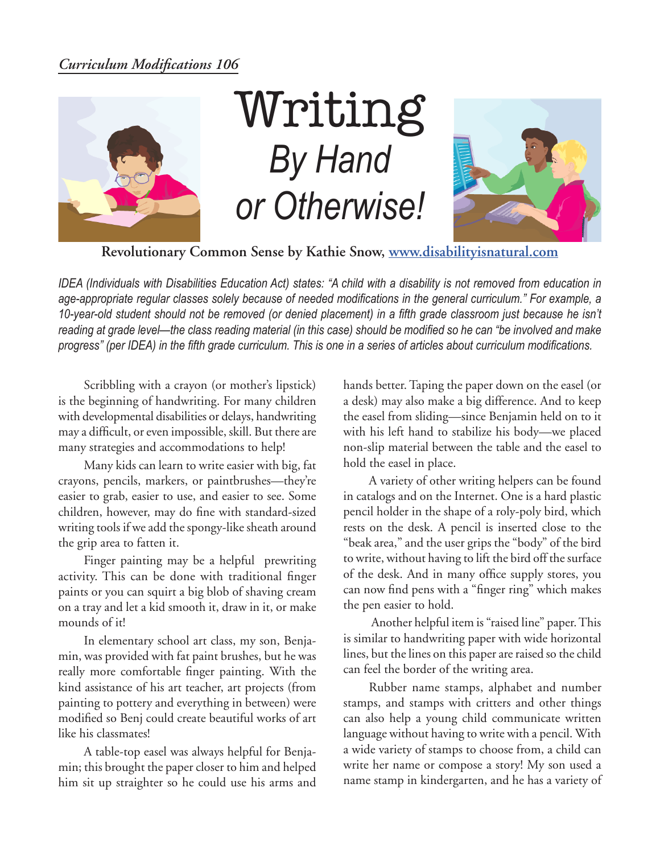## *Curriculum Modifications 106*



## Writing *By Hand or Otherwise!*



**Revolutionary Common Sense by Kathie Snow, www.disabilityisnatural.com**

*IDEA (Individuals with Disabilities Education Act) states: "A child with a disability is not removed from education in age-appropriate regular classes solely because of needed modifications in the general curriculum." For example, a*  10-year-old student should not be removed (or denied placement) in a fifth grade classroom just because he isn't *reading at grade level—the class reading material (in this case) should be modified so he can "be involved and make progress" (per IDEA) in the fifth grade curriculum. This is one in a series of articles about curriculum modifications.* 

Scribbling with a crayon (or mother's lipstick) is the beginning of handwriting. For many children with developmental disabilities or delays, handwriting may a difficult, or even impossible, skill. But there are many strategies and accommodations to help!

Many kids can learn to write easier with big, fat crayons, pencils, markers, or paintbrushes—they're easier to grab, easier to use, and easier to see. Some children, however, may do fine with standard-sized writing tools if we add the spongy-like sheath around the grip area to fatten it.

Finger painting may be a helpful prewriting activity. This can be done with traditional finger paints or you can squirt a big blob of shaving cream on a tray and let a kid smooth it, draw in it, or make mounds of it!

In elementary school art class, my son, Benjamin, was provided with fat paint brushes, but he was really more comfortable finger painting. With the kind assistance of his art teacher, art projects (from painting to pottery and everything in between) were modified so Benj could create beautiful works of art like his classmates!

A table-top easel was always helpful for Benjamin; this brought the paper closer to him and helped him sit up straighter so he could use his arms and hands better. Taping the paper down on the easel (or a desk) may also make a big difference. And to keep the easel from sliding—since Benjamin held on to it with his left hand to stabilize his body—we placed non-slip material between the table and the easel to hold the easel in place.

A variety of other writing helpers can be found in catalogs and on the Internet. One is a hard plastic pencil holder in the shape of a roly-poly bird, which rests on the desk. A pencil is inserted close to the "beak area," and the user grips the "body" of the bird to write, without having to lift the bird off the surface of the desk. And in many office supply stores, you can now find pens with a "finger ring" which makes the pen easier to hold.

 Another helpful item is "raised line" paper. This is similar to handwriting paper with wide horizontal lines, but the lines on this paper are raised so the child can feel the border of the writing area.

Rubber name stamps, alphabet and number stamps, and stamps with critters and other things can also help a young child communicate written language without having to write with a pencil. With a wide variety of stamps to choose from, a child can write her name or compose a story! My son used a name stamp in kindergarten, and he has a variety of